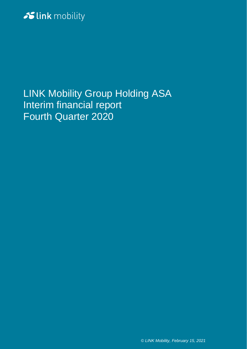# Slink mobility

LINK Mobility Group Holding ASA Interim financial report Fourth Quarter 2020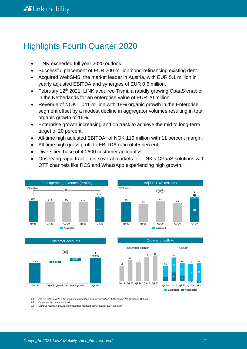# Highlights Fourth Quarter 2020

- LINK exceeded full year 2020 outlook.
- Successful placement of EUR 200 million bond refinancing existing debt.
- Acquired WebSMS, the market leader in Austria, with EUR 5.1 million in yearly adjusted EBITDA and synergies of EUR 0.6 million.
- February 12<sup>th</sup> 2021, LINK acquired Tismi, a rapidly growing CpaaS enabler in the Netherlands for an enterprise value of EUR 20 million.
- Revenue of NOK 1 041 million with 18% organic growth in the Enterprise segment offset by a modest decline in aggregator volumes resulting in total organic growth of 16%.
- Enterprise growth increasing and on track to achieve the mid to long-term target of 20 percent.
- All-time high adjusted EBITDA<sup>1</sup> of NOK 119 million with 11 percent margin.
- All-time high gross profit to EBITDA ratio of 45 percent.
- Diversified base of 40.600 customer accounts<sup>2</sup>
- Observing rapid traction in several markets for LINK's CPaaS solutions with OTT channels like RCS and WhatsApp experiencing high growth.



*1.) Please refer to note 3 for segment information and reconciliation of Alternative Performance Metrics* 

*2.) Customer accounts invoiced*

3.) Organic revenue growth in comparable footprint same quarter previous year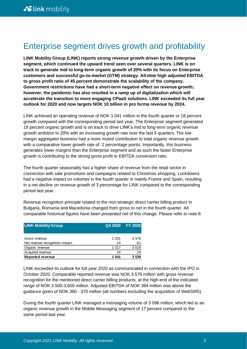# Enterprise segment drives growth and profitability

**LINK Mobility Group (LINK) reports strong revenue growth driven by the Enterprise segment, which continued the upward trend seen over several quarters. LINK is on track to generate mid to long-term organic growth of 20% with its focus on Enterprise customers and successful go-to-market (GTM) strategy. All-time high adjusted EBITDA to gross profit ratio of 45 percent demonstrate the scalability of the company. Government restrictions have had a short-term negative effect on revenue growth; however, the pandemic has also resulted in a ramp up of digitalization which will accelerate the transition to more engaging CPaaS solutions. LINK exceeded its full year outlook for 2020 and now targets NOK 10 billion in pro forma revenue by 2024.**

LINK achieved an operating revenue of NOK 1 041 million in the fourth quarter or 18 percent growth compared with the corresponding period last year. The Enterprise segment generated 18 percent organic growth and is on track to drive LINK's mid to long-term organic revenue growth ambition to 20% with an increasing growth rate over the last 5 quarters. The low margin aggregator business had a more muted contribution to total organic revenue growth with a comparative lower growth rate of -2 percentage points. Importantly, this business generates lower margins than the Enterprise segment and as such the faster Enterprise growth is contributing to the strong gross profit to EBITDA conversion ratio.

The fourth quarter seasonality has a higher share of revenue from the retail sector in connection with sale promotions and campaigns related to Christmas shopping. Lockdowns had a negative impact on volumes in the fourth quarter in mainly France and Spain, resulting in a net decline on revenue growth of 3 percentage for LINK compared to the corresponding period last year.

Revenue recognition principle related to the non-strategic direct carrier billing product in Bulgaria, Romania and Macedonia changed from gross to net in the fourth quarter. All comparable historical figures have been presented net of this change. Please refer to note 8.

| <b>LINK Mobility Group</b>     | Q4 2020 FY 2020 |      |  |  |
|--------------------------------|-----------------|------|--|--|
|                                |                 |      |  |  |
| Gross revenue                  | 1 0 3 1         | 3576 |  |  |
| Net revenue recognition impact | $-14$           | -61  |  |  |
| Organic revenue                | 1 0 1 7         | 3516 |  |  |
| Acquired revenue               | 24              | 24   |  |  |
| <b>Reported revenue</b>        | 1 041           | 3539 |  |  |

LINK exceeded its outlook for full year 2020 as communicated in connection with the IPO in October 2020. Comparable reported revenue was NOK 3.576 million with gross revenue recognition for the mentioned direct carrier billing products, at the high-end of the indicated range of NOK 3.500-3.600 million. Adjusted EBITDA of NOK 384 million was above the guidance given of NOK 360 - 370 million (all numbers excluding the acquisition of WebSMS).

During the fourth quarter LINK managed a messaging volume of 3 096 million, which led to an organic revenue growth in the Mobile Messaging segment of 17 percent compared to the same period last year.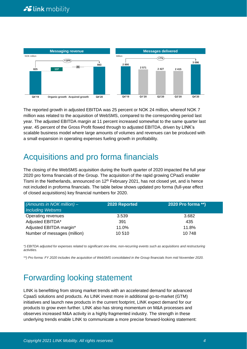

The reported growth in adjusted EBITDA was 25 percent or NOK 24 million, whereof NOK 7 million was related to the acquisition of WebSMS, compared to the corresponding period last year. The adjusted EBITDA margin at 11 percent increased somewhat to the same quarter last year. 45 percent of the Gross Profit flowed through to adjusted EBITDA, driven by LINK's scalable business model where large amounts of volumes and revenues can be produced with a small expansion in operating expenses fueling growth in profitability.

# Acquisitions and pro forma financials

The closing of the WebSMS acquisition during the fourth quarter of 2020 impacted the full year 2020 pro forma financials of the Group. The acquisition of the rapid growing CPaaS enabler Tismi in the Netherlands, announced on  $12<sup>th</sup>$  February 2021, has not closed yet, and is hence not included in proforma financials. The table below shows updated pro forma (full-year effect of closed acquisitions) key financial numbers for 2020.

| (Amounts in NOK million) $-$ | 2020 Reported | 2020 Pro forma **) |
|------------------------------|---------------|--------------------|
| <b>Including Websms</b>      |               |                    |
| Operating revenues           | 3.539         | 3.682              |
| Adjusted EBITDA*             | 391           | 435                |
| Adjusted EBITDA margin*      | 11.0%         | 11.8%              |
| Number of messages (million) | 10 510        | 10 748             |

*\*) EBITDA adjusted for expenses related to significant one-time, non-recurring events such as acquisitions and restructuring activities.*

*\*\*) Pro forma: FY 2020 includes the acquisition of WebSMS consolidated in the Group financials from mid November 2020.*

# Forwarding looking statement

LINK is benefitting from strong market trends with an accelerated demand for advanced CpaaS solutions and products. As LINK invest more in additional go-to-market (GTM) initiatives and launch new products in the current footprint, LINK expect demand for our products to grow even further. LINK also has strong momentum on M&A processes and observes increased M&A activity in a highly fragmented industry. The strength in these underlying trends enable LINK to communicate a more precise forward-looking statement: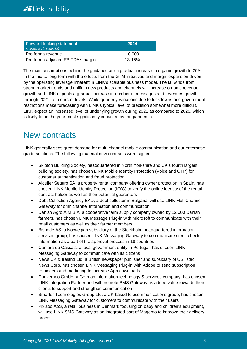| Forward looking statement<br>Amounts are in million NOK | 2024       |
|---------------------------------------------------------|------------|
| Pro forma revenue                                       | 10.000     |
| Pro forma adjusted EBITDA* margin                       | $13 - 15%$ |

The main assumptions behind the guidance are a gradual increase in organic growth to 20% in the mid to long-term with the effects from the GTM initiatives and margin expansion driven by the operating leverage inherent in LINK's scalable business model. The tailwinds from strong market trends and uplift in new products and channels will increase organic revenue growth and LINK expects a gradual increase in number of messages and revenues growth through 2021 from current levels. While quarterly variations due to lockdowns and government restrictions make forecasting with LINK's typical level of precision somewhat more difficult, LINK expect an increased level of underlying growth during 2021 as compared to 2020, which is likely to be the year most significantly impacted by the pandemic.

# New contracts

LINK generally sees great demand for multi-channel mobile communication and our enterprise grade solutions. The following material new contracts were signed:

- Skipton Building Society, headquartered in North Yorkshire and UK's fourth largest building society, has chosen LINK Mobile Identity Protection (Voice and OTP) for customer authentication and fraud protection
- Alquiler Seguro SA, a property rental company offering owner protection in Spain, has chosen LINK Mobile Identity Protection (KYC) to verify the online identity of the rental contract holder as well as their potential guarantors
- Debt Collection Agency EAD, a debt collector in Bulgaria, will use LINK MultiChannel Gateway for omnichannel information and communication
- Danish Agro A.M.B.A, a cooperative farm supply company owned by 12,000 Danish farmers, has chosen LINK Message Plug-in with Microsoft to communicate with their retail customers as well as their farmer members
- Bisnode AS, a Norwegian subsidiary of the Stockholm headquartered information services group, has chosen LINK Messaging Gateway to communicate credit check information as a part of the approval process in 18 countries
- Camara de Cascais, a local government entity in Portugal, has chosen LINK Messaging Gateway to communicate with its citizens
- News UK & Ireland Ltd, a British newspaper publisher and subsidiary of US listed News Corp, has chosen LINK Messaging Plug-in with Adobe to send subscription reminders and marketing to increase App downloads
- Converneo GmbH, a German information technology & services company, has chosen LINK Integration Partner and will promote SMS Gateway as added value towards their clients to support and strengthen communication
- Smarter Technologies Group Ltd, a UK based telecommunications group, has chosen LINK Messaging Gateway for customers to communicate with their users
- Pixizoo ApS, a retail business in Denmark focusing on baby and children's equipment, will use LINK SMS Gateway as an integrated part of Magento to improve their delivery process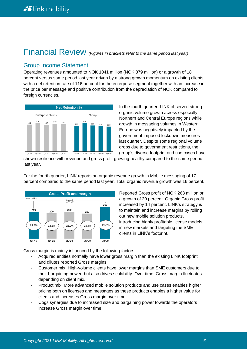# Financial Review *(Figures in brackets refer to the same period last year)*

### Group Income Statement

Operating revenues amounted to NOK 1041 million (NOK 879 million) or a growth of 18 percent versus same period last year driven by a strong growth momentum on existing clients with a net retention rate of 116 percent for the enterprise segment together with an increase in the price per message and positive contribution from the depreciation of NOK compared to foreign currencies.



In the fourth quarter, LINK observed strong organic volume growth across especially Northern and Central Europe regions while growth in messaging volumes in Western Europe was negatively impacted by the government-imposed lockdown measures last quarter. Despite some regional volume drops due to government restrictions, the group's diverse footprint and use cases have

shown resilience with revenue and gross profit growing healthy compared to the same period last year.

For the fourth quarter, LINK reports an organic revenue growth in Mobile messaging of 17 percent compared to the same period last year. Total organic revenue growth was 16 percent.



Reported Gross profit of NOK 263 million or a growth of 20 percent. Organic Gross profit increased by 14 percent. LINK's strategy is to maintain and increase margins by rolling out new mobile solution products, introducing highly profitable license models in new markets and targeting the SME clients in LINK's footprint.

Gross margin is mainly influenced by the following factors:

- Acquired entities normally have lower gross margin than the existing LINK footprint and dilutes reported Gross margins.
- Customer mix. High-volume clients have lower margins than SME customers due to their bargaining power, but also drives scalability. Over time, Gross margin fluctuates depending on client mix.
- Product mix. More advanced mobile solution products and use cases enables higher pricing both on licenses and messages as these products enables a higher value for clients and increases Gross margin over time.
- Cogs synergies due to increased size and bargaining power towards the operators increase Gross margin over time.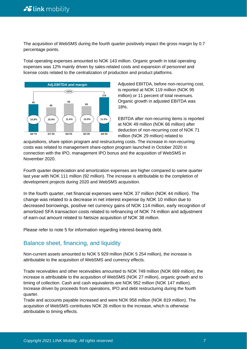The acquisition of WebSMS during the fourth quarter positively impact the gross margin by 0.7 percentage points.

Total operating expenses amounted to NOK 143 million. Organic growth in total operating expenses was 12% mainly driven by sales-related costs and expansion of personnel and license costs related to the centralization of production and product platforms.



Adjusted EBITDA, before non-recurring cost, is reported at NOK 119 million (NOK 95 million) or 11 percent of total revenues. Organic growth in adjusted EBITDA was 18%.

EBITDA after non-recurring items is reported at NOK 49 million (NOK 66 million) after deduction of non-recurring cost of NOK 71 million (NOK 29 million) related to

acquisitions, share option program and restructuring costs. The increase in non-recurring costs was related to management share-option program launched in October 2020 in connection with the IPO, management IPO bonus and the acquisition of WebSMS in November 2020.

Fourth quarter depreciation and amortization expenses are higher compared to same quarter last year with NOK 111 million (92 million). The increase is attributable to the completion of development projects during 2020 and WebSMS acquisition.

In the fourth quarter, net financial expenses were NOK 37 million (NOK 44 million). The change was related to a decrease in net interest expense by NOK 10 million due to decreased borrowings, positive net currency gains of NOK 114 million, early recognition of amortized SFA transaction costs related to refinancing of NOK 74 million and adjustment of earn-out amount related to Netsize acquisition of NOK 38 million.

Please refer to note 5 for information regarding interest-bearing debt.

## Balance sheet, financing, and liquidity

Non-current assets amounted to NOK 5 929 million (NOK 5 254 million), the increase is attributable to the acquisition of WebSMS and currency effects.

Trade receivables and other receivables amounted to NOK 749 million (NOK 669 million), the increase is attributable to the acquisition of WebSMS (NOK 27 million), organic growth and to timing of collection. Cash and cash equivalents are NOK 952 million (NOK 147 million). Increase driven by proceeds from operations, IPO and debt restructuring during the fourth quarter.

Trade and accounts payable increased and were NOK 958 million (NOK 819 million). The acquisition of WebSMS contributes NOK 26 million to the increase, which is otherwise attributable to timing effects.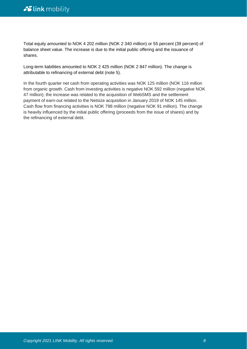Total equity amounted to NOK 4 202 million (NOK 2 340 million) or 55 percent (39 percent) of balance sheet value. The increase is due to the initial public offering and the issuance of shares.

Long-term liabilities amounted to NOK 2 425 million (NOK 2 847 million). The change is attributable to refinancing of external debt (note 5).

In the fourth quarter net cash from operating activities was NOK 125 million (NOK 116 million from organic growth. Cash from investing activities is negative NOK 592 million (negative NOK 47 million); the increase was related to the acquisition of WebSMS and the settlement payment of earn-out related to the Netsize acquisition in January 2019 of NOK 145 million. Cash flow from financing activities is NOK 798 million (negative NOK 91 million). The change is heavily influenced by the initial public offering (proceeds from the issue of shares) and by the refinancing of external debt.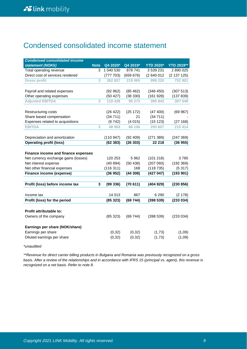## Condensed consolidated income statement

| <b>Condensed consolidated income</b> |             |           |           |                  |                   |
|--------------------------------------|-------------|-----------|-----------|------------------|-------------------|
| statement (NOKk)                     | <b>Note</b> | Q4 2020*  | Q4 2019*  | <b>YTD 2020*</b> | <b>YTD 2019**</b> |
| Total operating revenue              | 3           | 1 040 530 | 878 741   | 3 539 231        | 2 890 025         |
| Direct cost of services rendered     |             | (777703)  | (659676)  | (2 640 012       | (2 137 125)       |
| <b>Gross profit</b>                  | 3           | 262 827   | 219 065   | 899 220          | 752 901           |
|                                      |             |           |           |                  |                   |
| Payroll and related expenses         |             | (92962)   | (85462)   | (346 450)        | (307513)          |
| Other operating expenses             |             | (50 427)  | (38 330)  | (161928)         | (137 839)         |
| <b>Adjusted EBITDA</b>               | 3           | 119 438   | 95 273    | 390 842          | 307 548           |
|                                      |             |           |           |                  |                   |
| Restructuring costs                  |             | (26 422)  | (25172)   | (47 400)         | (69967)           |
| Share based compensation             |             | (34711)   | 21        | (34711)          |                   |
| Expenses related to acquisitions     |             | (9742)    | (4015)    | (15123)          | (27168)           |
| <b>EBITDA</b>                        | 3           | 48 563    | 66 106    | 293 607          | 210 414           |
|                                      |             |           |           |                  |                   |
| Depreciation and amortization        |             | (110947)  | (92, 409) | (271389)         | (247 369)         |
| <b>Operating profit (loss)</b>       |             | (62383)   | (26303)   | 22 218           | (36955)           |
|                                      |             |           |           |                  |                   |
| Finance income and finance expenses  |             |           |           |                  |                   |
| Net currency exchange gains (losses) |             | 120 253   | 5 9 6 2   | (101 218)        | 3785              |
| Net interest expense                 |             | (40894)   | (50 438)  | (207093)         | (192369)          |
| Net other financial expenses         |             | (116311)  | 168       | (118735)         | (5317)            |
| Finance income (expense)             |             | (36952)   | (44308)   | (427047)         | (193901)          |
|                                      |             |           |           |                  |                   |
| Profit (loss) before income tax      | 3           | (99336)   | (70611)   | (404829)         | (230 856)         |
|                                      |             |           |           |                  |                   |
| Income tax                           |             | 14 013    | 867       | 6 2 9 0          | (2178)            |
| Profit (loss) for the period         |             | (85323)   | (69744)   | (398539)         | (233 034)         |
|                                      |             |           |           |                  |                   |
| Profit attributable to:              |             |           |           |                  |                   |
| Owners of the company                |             | (85323)   | (69744)   | (398539)         | (233 034)         |
|                                      |             |           |           |                  |                   |
| Earnings per share (NOK/share)       |             |           |           |                  |                   |
| Earnings per share                   |             | (0, 32)   | (0, 32)   | (1,73)           | (1,09)            |
| Diluted earnings per share           |             | (0, 32)   | (0, 32)   | (1,73)           | (1,09)            |
|                                      |             |           |           |                  |                   |

*\*unaudited*

*\*\*Revenue for direct carrier billing products in Bulgaria and Romania was previously recognized on a gross basis. After a review of the relationships and in accordance with IFRS 15 (principal vs. agent), this revenue is recognized on a net basis. Refer to note 8.*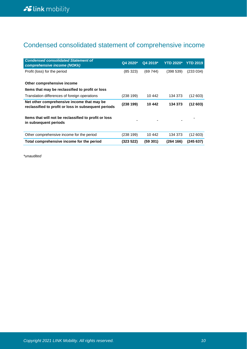# Condensed consolidated statement of comprehensive income

| <b>Condensed consolidated Statement of</b><br>comprehensive income (NOKk)                          | Q4 2020*  | Q4 2019* | <b>YTD 2020*</b> | <b>YTD 2019</b> |
|----------------------------------------------------------------------------------------------------|-----------|----------|------------------|-----------------|
| Profit (loss) for the period                                                                       | (85323)   | (69744)  | (398539)         | (233034)        |
| Other comprehensive income                                                                         |           |          |                  |                 |
| Items that may be reclassified to profit or loss                                                   |           |          |                  |                 |
| Translation differences of foreign operations                                                      | (238 199) | 10 442   | 134 373          | (12603)         |
| Net other comprehensive income that may be<br>reclassified to profit or loss in subsequent periods | (238 199) | 10 442   | 134 373          | (12603)         |
| Items that will not be reclassified to profit or loss<br>in subsequent periods                     |           |          |                  |                 |
| Other comprehensive income for the period                                                          | (238199)  | 10 442   | 134 373          | (12603)         |
| Total comprehensive income for the period                                                          | (323 522) | (59 301) | (264166)         | (245 637)       |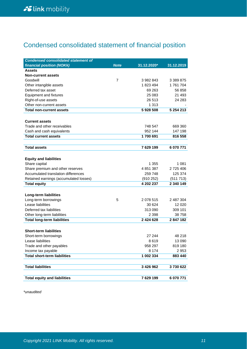# Condensed consolidated statement of financial position

| <b>Condensed consolidated statement of</b> |                |               |            |
|--------------------------------------------|----------------|---------------|------------|
| financial position (NOKk)                  | <b>Note</b>    | 31.12.2020*   | 31.12.2019 |
| <b>Assets</b>                              |                |               |            |
| <b>Non-current assets</b>                  |                |               |            |
| Goodwill                                   | $\overline{7}$ | 3 982 843     | 3 389 875  |
| Other intangible assets                    |                | 1823494       | 1761704    |
| Deferred tax asset                         |                | 69 263        | 56 858     |
| <b>Equipment and fixtures</b>              |                | 25 083        | 21 4 9 3   |
| Right-of-use assets                        |                | 26 513        | 24 283     |
| Other non-current assets                   |                | 1 3 1 3       |            |
| <b>Total non-current assets</b>            |                | 5928508       | 5 254 213  |
|                                            |                |               |            |
| <b>Current assets</b>                      |                |               |            |
| Trade and other receivables                |                | 748 547       | 669 360    |
| Cash and cash equivalents                  |                | 952 144       | 147 198    |
| <b>Total current assets</b>                |                | 1700 691      | 816 558    |
|                                            |                |               |            |
| <b>Total assets</b>                        |                | 7629199       | 6 070 771  |
|                                            |                |               |            |
| <b>Equity and liabilities</b>              |                |               |            |
| Share capital                              |                | 1 355         | 1 081      |
| Share premium and other reserves           |                | 4851387       | 2725406    |
| Accumulated translation differences        |                | 259 748       | 125 374    |
| Retained earnings (accumulated losses)     |                | (910 252)     | (511 713)  |
| <b>Total equity</b>                        |                | 4 202 237     | 2 340 149  |
|                                            |                |               |            |
| Long-term liabilities                      |                |               |            |
| Long-term borrowings                       | 5              | 2078515       | 2 487 304  |
| Lease liabilities                          |                | 30 624        | 12 0 20    |
| Deferred tax liabilities                   |                | 313 090       | 309 101    |
| Other long-term liabilities                |                | 2 3 9 8       | 38758      |
| <b>Total long-term liabilities</b>         |                | 2 424 628     | 2847182    |
|                                            |                |               |            |
| <b>Short-term liabilities</b>              |                |               |            |
| Short-term borrowings                      |                | 27 244        | 48 218     |
| Lease liabilities                          |                | 8619          | 13 090     |
| Trade and other payables                   |                | 958 297       | 819 180    |
| Income tax payable                         |                | 8 1 7 4       | 2953       |
| <b>Total short-term liabilities</b>        |                | 1 002 334     | 883 440    |
|                                            |                |               |            |
| <b>Total liabilities</b>                   |                | 3 4 2 6 9 6 2 | 3730622    |
|                                            |                |               |            |
| <b>Total equity and liabilities</b>        |                | 7629199       | 6 070 771  |
|                                            |                |               |            |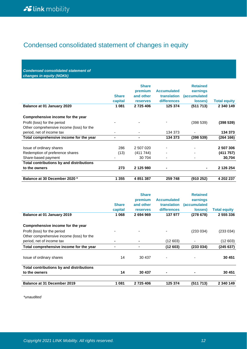# Condensed consolidated statement of changes in equity

*Condensed consolidated statement of changes in equity (NOKk)*

| Balance at 01 January 2020                      | <b>Share</b><br>capital<br>1081 | <b>Share</b><br>premium<br>and other<br><b>reserves</b><br>2 725 406 | <b>Accumulated</b><br><b>translation</b><br><b>differences</b><br>125 374 | <b>Retained</b><br>earnings<br><i>(accumulated</i><br>losses)<br>(511713) | <b>Total equity</b><br>2 340 149 |
|-------------------------------------------------|---------------------------------|----------------------------------------------------------------------|---------------------------------------------------------------------------|---------------------------------------------------------------------------|----------------------------------|
| Comprehensive income for the year               |                                 |                                                                      |                                                                           |                                                                           |                                  |
| Profit (loss) for the period                    |                                 |                                                                      |                                                                           | (398539)                                                                  | (398539)                         |
| Other comprehensive income (loss) for the       |                                 |                                                                      |                                                                           |                                                                           |                                  |
| period, net of income tax                       | ۰                               |                                                                      | 134 373                                                                   |                                                                           | 134 373                          |
| Total comprehensive income for the year         | ۰                               | ٠                                                                    | 134 373                                                                   | (398539)                                                                  | (264 166)                        |
| Issue of ordinary shares                        | 286                             | 2 507 020                                                            |                                                                           |                                                                           | 2 507 306                        |
| Redemption of preference shares                 | (13)                            | (411 744)                                                            | $\overline{\phantom{a}}$                                                  |                                                                           | (411757)                         |
| Share-based payment                             |                                 | 30 704                                                               | $\overline{\phantom{a}}$                                                  | $\overline{\phantom{0}}$                                                  | 30,704                           |
| <b>Total contributions by and distributions</b> |                                 |                                                                      |                                                                           |                                                                           |                                  |
| to the owners                                   | 273                             | 2 125 980                                                            | ۰                                                                         | ۰                                                                         | 2 126 254                        |
| Balance at 30 December 2020 *                   | 1 355                           | 4851387                                                              | 259 748                                                                   | (910 252)                                                                 | 4 202 237                        |

| <b>Balance at 01 January 2019</b>         | <b>Share</b><br>capital<br>1 0 6 8 | <b>Share</b><br>premium<br>and other<br><b>reserves</b><br>2694969 | <b>Accumulated</b><br>translation<br>differences<br>137 977 | <b>Retained</b><br>earnings<br><i>(accumulated)</i><br>losses)<br>(278678) | <b>Total equity</b><br>2 555 336 |
|-------------------------------------------|------------------------------------|--------------------------------------------------------------------|-------------------------------------------------------------|----------------------------------------------------------------------------|----------------------------------|
|                                           |                                    |                                                                    |                                                             |                                                                            |                                  |
| Comprehensive income for the year         |                                    |                                                                    |                                                             |                                                                            |                                  |
| Profit (loss) for the period              |                                    |                                                                    |                                                             | (233 034)                                                                  | (233 034)                        |
| Other comprehensive income (loss) for the |                                    |                                                                    |                                                             |                                                                            |                                  |
| period, net of income tax                 | $\blacksquare$                     |                                                                    | (12 603)                                                    |                                                                            | (12603)                          |
| Total comprehensive income for the year   | ٠                                  |                                                                    | (12603)                                                     | (233 034)                                                                  | (245 637)                        |
| Issue of ordinary shares                  | 14                                 | 30 437                                                             | $\overline{\phantom{0}}$                                    |                                                                            | 30 451                           |
| Total contributions by and distributions  |                                    |                                                                    |                                                             |                                                                            |                                  |
| to the owners                             | 14                                 | 30 437                                                             | $\blacksquare$                                              | -                                                                          | 30 451                           |
| <b>Balance at 31 December 2019</b>        | 1 0 8 1                            | 2725406                                                            | 125 374                                                     | (511 713)                                                                  | 2 340 149                        |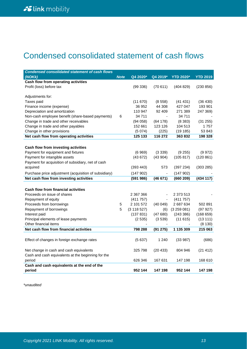# Condensed consolidated statement of cash flows

| <b>Condensed consolidated statement of cash flows</b> |             |             |          |                  |                 |
|-------------------------------------------------------|-------------|-------------|----------|------------------|-----------------|
| (NOKk)                                                | <b>Note</b> | Q4 2020*    | Q4 2019* | <b>YTD 2020*</b> | <b>YTD 2019</b> |
| Cash flow from operating activities                   |             |             |          |                  |                 |
| Profit (loss) before tax                              |             | (99336)     | (70611)  | (404829)         | (230 856)       |
| Adjustments for:                                      |             |             |          |                  |                 |
| Taxes paid                                            |             | (11670)     | (8558)   | (41 431)         | (36 430)        |
| Finance income (expense)                              |             | 36 952      | 44 308   | 427 047          | 193 901         |
| Depreciation and amortization                         |             | 110 947     | 92 409   | 271 389          | 247 369)        |
| Non-cash employee benefit (share-based payments)      | 6           | 34 711      |          | 34 711           |                 |
| Change in trade and other receivables                 |             | (94058)     | (64178)  | (8383)           | (31 255)        |
| Change in trade and other payables                    |             | 152 661     | 123 126  | 104 513          | 1757            |
| Change in other provisions                            |             | (5074)      | (225)    | (19185)          | 53 843          |
| Net cash flow from operating activities               |             | 125 133     | 116 272  | 363832           | 198 328         |
|                                                       |             |             |          |                  |                 |
| Cash flow from investing activities                   |             |             |          |                  |                 |
| Payment for equipment and fixtures                    |             | (6969)      | (3339)   | (9255)           | (9972)          |
| Payment for intangible assets                         |             | (43672)     | (43904)  | (105 817)        | (120 861)       |
| Payment for acquisition of subsidiary, net of cash    |             |             |          |                  |                 |
| acquired                                              |             | (393 443)   | 573      | (397 234)        | (303 285)       |
| Purchase price adjustment (acquisition of subsidiary) |             | (147902)    |          | (147902)         |                 |
| Net cash flow from investing activities               |             | (591986)    | (46671)  | (660 209)        | (434 117)       |
|                                                       |             |             |          |                  |                 |
| <b>Cash flow from financial activities</b>            |             |             |          |                  |                 |
| Proceeds on issue of shares                           |             | 2 367 366   |          | 2 373 513        |                 |
| Repayment of equity                                   |             | (411757)    |          | (411757)         |                 |
| Proceeds from borrowings                              | 5           | 2 101 572   | (40049)  | 2 687 634        | 502 891         |
| Repayment of borrowings                               | 5           | (3 118 527) | (6)      | (3259081)        | (97927)         |
| Interest paid                                         |             | (137 831)   | (47680)  | (243 386)        | (168659)        |
| Principal elements of lease payments                  |             | (2535)      | (3539)   | (11615)          | (13111)         |
| Other financial items                                 |             |             |          |                  | (8130)          |
| Net cash flow from financial activities               |             | 798 288     | (91 275) | 1 135 309        | 215 063         |
|                                                       |             |             |          |                  |                 |
| Effect of changes in foreign exchange rates           |             | (5637)      | 1 240    | (33987)          | (686)           |
| Net change in cash and cash equivalents               |             | 325 798     |          | 804 946          |                 |
| Cash and cash equivalents at the beginning for the    |             |             | (20 433) |                  | (21 412)        |
| period                                                |             | 626 346     | 167 631  | 147 198          | 168 610         |
| Cash and cash equivalents at the end of the           |             |             |          |                  |                 |
| period                                                |             | 952 144     | 147 198  | 952 144          | 147 198         |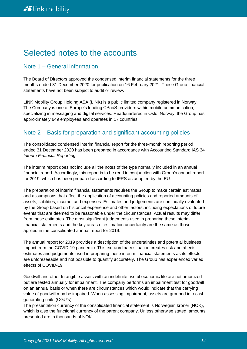# Selected notes to the accounts

## Note 1 – General information

The Board of Directors approved the condensed interim financial statements for the three months ended 31 December 2020 for publication on 16 February 2021. These Group financial statements have not been subject to audit or review.

LINK Mobility Group Holding ASA (LINK) is a public limited company registered in Norway. The Company is one of Europe's leading CPaaS providers within mobile communication, specializing in messaging and digital services. Headquartered in Oslo, Norway, the Group has approximately 649 employees and operates in 17 countries.

## Note 2 – Basis for preparation and significant accounting policies

The consolidated condensed interim financial report for the three-month reporting period ended 31 December 2020 has been prepared in accordance with Accounting Standard IAS 34 *Interim Financial Reporting*.

The interim report does not include all the notes of the type normally included in an annual financial report. Accordingly, this report is to be read in conjunction with Group's annual report for 2019, which has been prepared according to IFRS as adopted by the EU.

The preparation of interim financial statements requires the Group to make certain estimates and assumptions that affect the application of accounting policies and reported amounts of assets, liabilities, income, and expenses. Estimates and judgements are continually evaluated by the Group based on historical experience and other factors, including expectations of future events that are deemed to be reasonable under the circumstances. Actual results may differ from these estimates. The most significant judgements used in preparing these interim financial statements and the key areas of estimation uncertainty are the same as those applied in the consolidated annual report for 2019.

The annual report for 2019 provides a description of the uncertainties and potential business impact from the COVID-19 pandemic. This extraordinary situation creates risk and affects estimates and judgements used in preparing these interim financial statements as its effects are unforeseeable and not possible to quantify accurately. The Group has experienced varied effects of COVID-19.

Goodwill and other Intangible assets with an indefinite useful economic life are not amortized but are tested annually for impairment. The company performs an impairment test for goodwill on an annual basis or when there are circumstances which would indicate that the carrying value of goodwill may be impaired. When assessing impairment, assets are grouped into cash generating units (CGU's).

The presentation currency of the consolidated financial statement is Norwegian kroner (NOK), which is also the functional currency of the parent company. Unless otherwise stated, amounts presented are in thousands of NOK.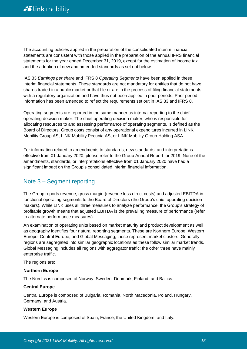The accounting policies applied in the preparation of the consolidated interim financial statements are consistent with those applied in the preparation of the annual IFRS financial statements for the year ended December 31, 2019, except for the estimation of income tax and the adoption of new and amended standards as set out below.

IAS 33 *Earnings per share* and IFRS 8 *Operating Segments* have been applied in these interim financial statements. These standards are not mandatory for entities that do not have shares traded in a public market or that file or are in the process of filing financial statements with a regulatory organization and have thus not been applied in prior periods. Prior period information has been amended to reflect the requirements set out in IAS 33 and IFRS 8.

Operating segments are reported in the same manner as internal reporting to the chief operating decision maker. The chief operating decision maker, who is responsible for allocating resources to and assessing performance of operating segments, is defined as the Board of Directors. Group costs consist of any operational expenditures incurred in LINK Mobility Group AS, LINK Mobility Pecunia AS, or LINK Mobility Group Holding ASA.

For information related to amendments to standards, new standards, and interpretations effective from 01 January 2020, please refer to the Group Annual Report for 2019. None of the amendments, standards, or interpretations effective from 01 January 2020 have had a significant impact on the Group's consolidated interim financial information.

## Note 3 – Segment reporting

The Group reports revenue, gross margin (revenue less direct costs) and adjusted EBITDA in functional operating segments to the Board of Directors (the Group's chief operating decision makers). While LINK uses all three measures to analyze performance, the Group's strategy of profitable growth means that adjusted EBITDA is the prevailing measure of performance (refer to alternate performance measures).

An examination of operating units based on market maturity and product development as well as geography identifies four natural reporting segments. These are Northern Europe, Western Europe, Central Europe, and Global Messaging; these represent market clusters. Generally, regions are segregated into similar geographic locations as these follow similar market trends. Global Messaging includes all regions with aggregator traffic; the other three have mainly enterprise traffic.

The regions are:

#### **Northern Europe**

The Nordics is composed of Norway, Sweden, Denmark, Finland, and Baltics.

#### **Central Europe**

Central Europe is composed of Bulgaria, Romania, North Macedonia, Poland, Hungary, Germany, and Austria.

#### **Western Europe**

Western Europe is composed of Spain, France, the United Kingdom, and Italy.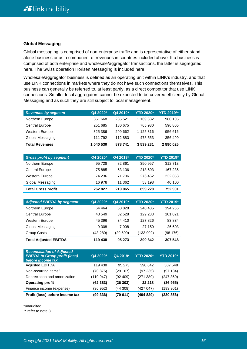#### **Global Messaging**

Global messaging is comprised of non-enterprise traffic and is representative of either standalone business or as a component of revenues in countries included above. If a business is comprised of both enterprise and wholesale/aggregator transactions, the latter is segregated here. The Swiss operation Horisen Messaging is included here.

Wholesale/aggregator business is defined as an operating unit within LINK's industry, and that use LINK connections in markets where they do not have such connections themselves. This business can generally be referred to, at least partly, as a direct competitor that use LINK connections. Smaller local aggregators cannot be expected to be covered efficiently by Global Messaging and as such they are still subject to local management.

| <b>Revenues by segment</b> | Q4 2020*  | Q4 2019* | <b>YTD 2020*</b> | <b>YTD 2019**</b> |
|----------------------------|-----------|----------|------------------|-------------------|
| Northern Europe            | 351 668   | 285 521  | 1 169 382        | 980 105           |
| <b>Central Europe</b>      | 251 685   | 180 675  | 765 980          | 596 805           |
| Western Europe             | 325 386   | 299 662  | 1 125 316        | 956 616           |
| Global Messaging           | 111 792   | 112883   | 478 553          | 356 499           |
| <b>Total Revenues</b>      | 1 040 530 | 878 741  | 3 539 231        | 2890025           |

| <b>Gross profit by segment</b> | Q4 2020* | Q4 2019* | <b>YTD 2020*</b> | <b>YTD 2019*</b> |
|--------------------------------|----------|----------|------------------|------------------|
| Northern Europe                | 95 728   | 82 861   | 350 957          | 312 713          |
| <b>Central Europe</b>          | 75 885   | 53 136   | 218 603          | 167 235          |
| Western Europe                 | 74 236   | 71 706   | 276462           | 232 853          |
| Global Messaging               | 16 978   | 11 362   | 53 198           | 40 100           |
| <b>Total Gross profit</b>      | 262 827  | 219 065  | 899 220          | 752 901          |

| <b>Adjusted EBITDA by segment</b> | Q4 2020* | Q4 2019* | <b>YTD 2020*</b> | <b>YTD 2019*</b> |
|-----------------------------------|----------|----------|------------------|------------------|
| Northern Europe                   | 64 4 64  | 50 828   | 240 485          | 194 266          |
| <b>Central Europe</b>             | 43 549   | 32 5 28  | 129 283          | 101 021          |
| <b>Western Europe</b>             | 45 396   | 34 410   | 127826           | 83 834           |
| Global Messaging                  | 9 3 0 8  | 7 008    | 27 150           | 26 603           |
| Group Costs                       | (43 280) | (29 500) | (133 902)        | (98 176)         |
| <b>Total Adjusted EBITDA</b>      | 119 438  | 95 273   | 390 842          | 307 548          |

| <b>Reconciliation of Adjusted</b><br><b>EBITDA to Group profit (loss)</b><br>before income tax | Q4 2020*  | Q4 2019* | <b>YTD 2020*</b> | <b>YTD 2019*</b> |
|------------------------------------------------------------------------------------------------|-----------|----------|------------------|------------------|
| <b>Adjusted EBITDA</b>                                                                         | 119 438   | 95 273   | 390 842          | 307 548          |
| Non-recurring items <sup>1</sup>                                                               | (70875)   | (29167)  | (97235)          | (97134)          |
| Depreciation and amortization                                                                  | (110 947) | (92 409) | (271 389)        | (247369)         |
| <b>Operating profit</b>                                                                        | (62 383)  | (26303)  | 22 218           | (36955)          |
| Finance income (expense)                                                                       | (36 952)  | (44308)  | (427 047)        | (193 901)        |
| Profit (loss) before income tax                                                                | (99 336)  | (70 611) | (404 829)        | (230 856)        |

\*unaudited

\*\* refer to note 8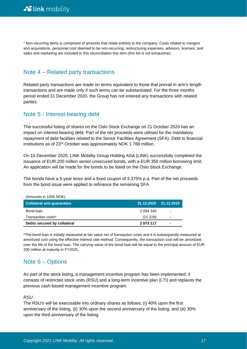<sup>1</sup> Non-recurring items is comprised of amounts that relate entirely to the company. Costs related to mergers and acquisitions, personnel cost deemed to be non-recurring, restructuring expenses, advisors, licenses, and sales and marketing are included in this reconciliation line item (this list is not exhaustive).

### Note 4 – Related party transactions

Related party transactions are made on terms equivalent to those that prevail in arm's length transactions and are made only if such terms can be substantiated. For the three months period ended 31 December 2020, the Group has not entered any transactions with related parties.

### Note 5 - Interest-bearing debt

The successful listing of shares on the Oslo Stock Exchange on 21 October 2020 has an impact on interest-bearing debt. Part of the net proceeds were utilised for the mandatory repayment of debt facilities related to the Senior Facilities Agreement (SFA). Debt to financial institutions as of 23rd October was approximately NOK 1.788 million.

On 15 December 2020, LINK Mobility Group Holding ASA (LINK) successfully completed the issuance of EUR 200 million senior unsecured bonds, with a EUR 350 million borrowing limit. An application will be made for the bonds to be listed on the Oslo Stock Exchange.

The bonds have a 5-year tenor and a fixed coupon of 3.375% p.a. Part of the net proceeds from the bond issue were applied to refinance the remaining SFA.

| Debts secured by collateral      | 2 073 117  | ۰          |
|----------------------------------|------------|------------|
| Transaction costs*               | (21 228)   | ۰          |
| Bond loan                        | 2 094 345  | ٠          |
| <b>Collateral and quarantees</b> | 31.12.2020 | 31.12.2019 |
| (Amounts in 1000 NOK)            |            |            |

\*The bond loan is initially measured at fair value net of transaction costs and it is subsequently measured at amortized cost using the effective interest rate method. Consequently, the transaction cost will be amortized over the life of the bond loan. The carrying value of the bond loan will be equal to the principal amount of EUR 200 million at maturity in FY2025.

## Note 6 – Options

As part of the stock listing, a management incentive program has been implemented; it consists of restricted stock units (RSU) and a long-term incentive plan (LTI) and replaces the previous cash-based management incentive program.

#### *RSU*

The RSU's will be exercisable into ordinary shares as follows; (i) 40% upon the first anniversary of the listing, (ii) 30% upon the second anniversary of the listing, and (iii) 30% upon the third anniversary of the listing.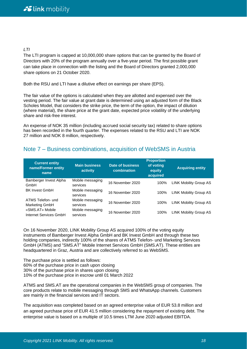#### *LTI*

The LTI program is capped at 10,000,000 share options that can be granted by the Board of Directors with 20% of the program annually over a five-year period. The first possible grant can take place in connection with the listing and the Board of Directors granted 2,000,000 share options on 21 October 2020.

Both the RSU and LTI have a dilutive effect on earnings per share (EPS).

The fair value of the options is calculated when they are allotted and expensed over the vesting period. The fair value at grant date is determined using an adjusted form of the Black Scholes Model, that considers the strike price, the term of the option, the impact of dilution (where material), the share price at the grant date, expected price volatility of the underlying share and risk-free interest.

An expense of NOK 35 million (including accrued social security tax) related to share options has been recorded in the fourth quarter. The expenses related to the RSU and LTI are NOK 27 million and NOK 8 million, respectively.

### Note 7 – Business combinations, acquisition of WebSMS in Austria

| <b>Current entity</b><br>name/Former entity<br>name | <b>Main business</b><br>activity | Date of business<br>combination | <b>Proportion</b><br>of voting<br>equity<br>acquired | <b>Acquiring entity</b>       |
|-----------------------------------------------------|----------------------------------|---------------------------------|------------------------------------------------------|-------------------------------|
| Bamberger Invest Alpha<br>GmbH                      | Mobile messaging<br>services     | 16 November 2020                | 100%                                                 | <b>LINK Mobility Group AS</b> |
| <b>BK Invest GmbH</b>                               | Mobile messaging<br>services     | 16 November 2020                | 100%                                                 | <b>LINK Mobility Group AS</b> |
| ATMS Telefon- und<br>Marketing GmbH                 | Mobile messaging<br>services     | 16 November 2020                | 100%                                                 | <b>LINK Mobility Group AS</b> |
| «SMS.AT» Mobile<br>Internet Services GmbH           | Mobile messaging<br>services     | 16 November 2020                | 100%                                                 | <b>LINK Mobility Group AS</b> |

On 16 November 2020, LINK Mobility Group AS acquired 100% of the voting equity instruments of Bamberger Invest Alpha GmbH and BK Invest GmbH and through these two holding companies, indirectly 100% of the shares of ATMS Telefon- und Marketing Services GmbH (ATMS) and "SMS.AT" Mobile Internet Services GmbH (SMS.AT). These entities are headquartered in Graz, Austria and are collectively referred to as WebSMS.

The purchase price is settled as follows:

60% of the purchase price in cash upon closing

30% of the purchase price in shares upon closing

10% of the purchase price in escrow until 01 March 2022

ATMS and SMS.AT are the operational companies in the WebSMS group of companies. The core products relate to mobile messaging through SMS and WhatsApp channels. Customers are mainly in the financial services and IT sectors.

The acquisition was completed based on an agreed enterprise value of EUR 53.8 million and an agreed purchase price of EUR 41.5 million considering the repayment of existing debt. The enterprise value is based on a multiple of 10.5 times LTM June 2020 adjusted EBITDA.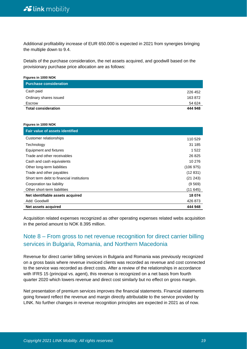Additional profitability increase of EUR 650.000 is expected in 2021 from synergies bringing the multiple down to 9.4.

Details of the purchase consideration, the net assets acquired, and goodwill based on the provisionary purchase price allocation are as follows:

| <b>Figures in 1000 NOK</b><br><b>Purchase consideration</b> |         |
|-------------------------------------------------------------|---------|
| Cash paid                                                   | 226 452 |
| Ordinary shares issued                                      | 163872  |
| Escrow                                                      | 54 624  |
| <b>Total consideration</b>                                  | 444 948 |

#### **Figures in 1000 NOK**

**Figures in 1000 NOK**

| <b>Fair value of assets identified</b>    |          |
|-------------------------------------------|----------|
| Customer relationships                    | 110 529  |
| Technology                                | 31 185   |
| Equipment and fixtures                    | 1 5 2 2  |
| Trade and other receivables               | 26 8 25  |
| Cash and cash equivalents                 | 10 276   |
| Other long-term liabilities               | (106975) |
| Trade and other payables                  | (12831)  |
| Short term debt to financial institutions | (21 243) |
| Corporation tax liability                 | (9569)   |
| Other short-term liabilities              | (11645)  |
| Net identifiable assets acquired          | 18 074   |
| Add: Goodwill                             | 426 873  |
| Net assets acquired                       | 444 948  |

Acquisition related expenses recognized as other operating expenses related webs acquisition in the period amount to NOK 8.395 million.

## Note 8 – From gross to net revenue recognition for direct carrier billing services in Bulgaria, Romania, and Northern Macedonia

Revenue for direct carrier billing services in Bulgaria and Romania was previously recognized on a gross basis where revenue invoiced clients was recorded as revenue and cost connected to the service was recorded as direct costs. After a review of the relationships in accordance with IFRS 15 (principal vs. agent), this revenue is recognized on a net basis from fourth quarter 2020 which lowers revenue and direct cost similarly but no effect on gross margin.

Net presentation of premium services improves the financial statements. Financial statements going forward reflect the revenue and margin directly attributable to the service provided by LINK. No further changes in revenue recognition principles are expected in 2021 as of now.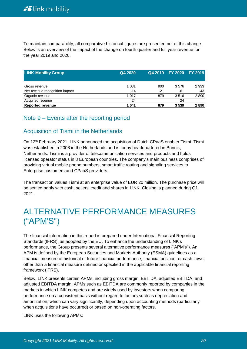To maintain comparability, all comparative historical figures are presented net of this change. Below is an overview of the impact of the change on fourth quarter and full year revenue for the year 2019 and 2020.

| <b>LINK Mobility Group</b>     | Q4 2020 |       | Q4 2019 FY 2020 FY 2019 |         |
|--------------------------------|---------|-------|-------------------------|---------|
| Gross revenue                  | 1 0 3 1 | 900   | 3576                    | 2 9 3 3 |
| Net revenue recognition impact | $-14$   | $-21$ | -61                     | -43     |
| Organic revenue                | 1 0 1 7 | 879   | 3516                    | 2890    |
| Acquired revenue               | 24      |       | 24                      |         |
| <b>Reported revenue</b>        | 1 041   | 879   | 3539                    | 2890    |

## Note 9 – Events after the reporting period

## Acquisition of Tismi in the Netherlands

On 12th February 2021, LINK announced the acquisition of Dutch CPaaS enabler Tismi. Tismi was established in 2008 in the Netherlands and is today headquartered in Bunnik, Netherlands. Tismi is a provider of telecommunication services and products and holds licensed operator status in 8 European countries. The company's main business comprises of providing virtual mobile phone numbers, smart traffic routing and signaling services to Enterprise customers and CPaaS providers.

The transaction values Tismi at an enterprise value of EUR 20 million. The purchase price will be settled partly with cash, sellers' credit and shares in LINK. Closing is planned during Q1 2021.

# ALTERNATIVE PERFORMANCE MEASURES ("APM'S")

The financial information in this report is prepared under International Financial Reporting Standards (IFRS), as adopted by the EU. To enhance the understanding of LINK's performance, the Group presents several alternative performance measures ("APM's"). An APM is defined by the European Securities and Markets Authority (ESMA) guidelines as a financial measure of historical or future financial performance, financial position, or cash flows, other than a financial measure defined or specified in the applicable financial reporting framework (IFRS).

Below, LINK presents certain APMs, including gross margin, EBITDA, adjusted EBITDA, and adjusted EBITDA margin. APMs such as EBITDA are commonly reported by companies in the markets in which LINK competes and are widely used by investors when comparing performance on a consistent basis without regard to factors such as depreciation and amortization, which can vary significantly, depending upon accounting methods (particularly when acquisitions have occurred) or based on non-operating factors.

LINK uses the following APMs: